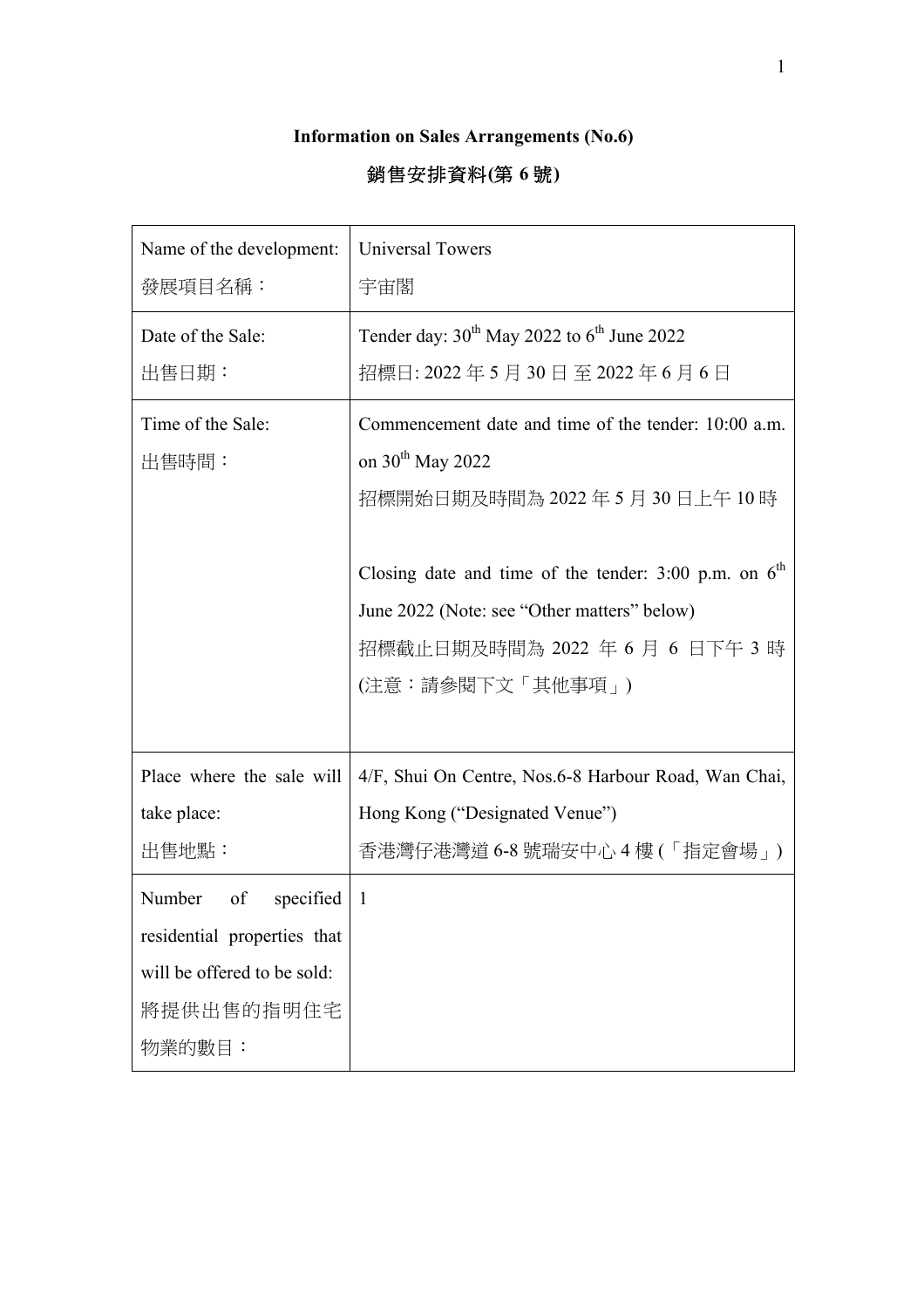## **Information on Sales Arrangements (No.6)**

## 銷售安排資料**(**第 **6** 號**)**

| Name of the development:    | <b>Universal Towers</b>                                   |
|-----------------------------|-----------------------------------------------------------|
| 發展項目名稱:                     | 宇宙閣                                                       |
| Date of the Sale:           | Tender day: $30^{th}$ May 2022 to $6^{th}$ June 2022      |
| 出售日期:                       | 招標日: 2022 年 5 月 30 日 至 2022 年 6 月 6 日                     |
| Time of the Sale:           | Commencement date and time of the tender: 10:00 a.m.      |
| 出售時間:                       | on $30th$ May 2022                                        |
|                             | 招標開始日期及時間為 2022 年 5 月 30 日上午 10 時                         |
|                             | Closing date and time of the tender: $3:00$ p.m. on $6th$ |
|                             | June 2022 (Note: see "Other matters" below)               |
|                             | 招標截止日期及時間為 2022 年 6 月 6 日下午 3 時                           |
|                             | (注意:請參閱下文「其他事項」)                                          |
|                             |                                                           |
| Place where the sale will   | 4/F, Shui On Centre, Nos.6-8 Harbour Road, Wan Chai,      |
| take place:                 | Hong Kong ("Designated Venue")                            |
| 出售地點:                       | 香港灣仔港灣道 6-8 號瑞安中心 4 樓 (「指定會場」)                            |
| Number<br>of<br>specified   | -1                                                        |
| residential properties that |                                                           |
| will be offered to be sold: |                                                           |
| 將提供出售的指明住宅                  |                                                           |
| 物業的數目:                      |                                                           |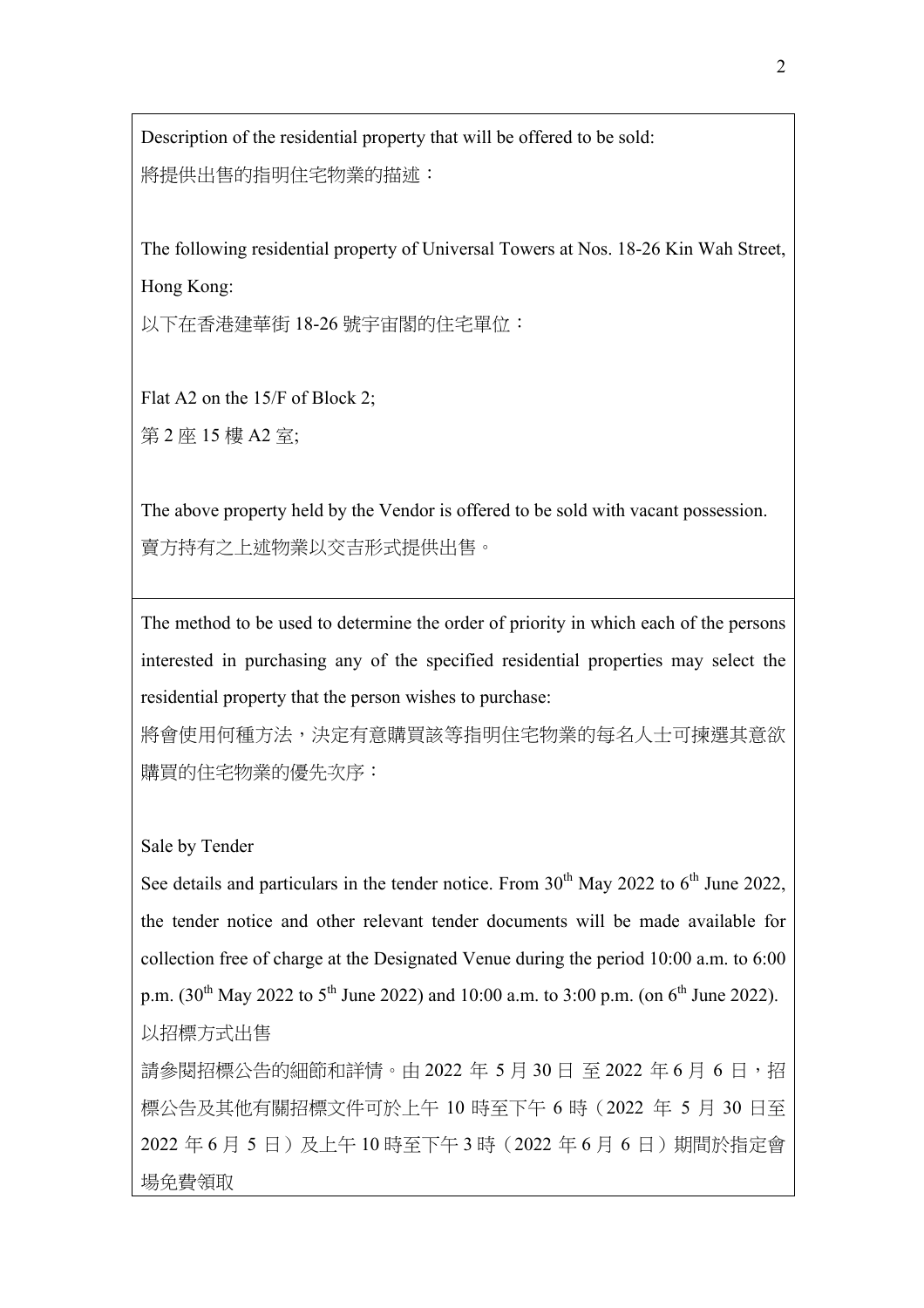Description of the residential property that will be offered to be sold: 將提供出售的指明住宅物業的描述:

The following residential property of Universal Towers at Nos. 18-26 Kin Wah Street, Hong Kong:

以下在香港建華街 18-26 號宇宙閣的住宅單位:

Flat A2 on the 15/F of Block 2; 第 2 座 15 樓 A2 室;

The above property held by the Vendor is offered to be sold with vacant possession. 賣方持有之上述物業以交吉形式提供出售。

The method to be used to determine the order of priority in which each of the persons interested in purchasing any of the specified residential properties may select the residential property that the person wishes to purchase:

將會使用何種方法,決定有意購買該等指明住宅物業的每名人士可揀選其意欲 購買的住宅物業的優先次序:

## Sale by Tender

See details and particulars in the tender notice. From  $30<sup>th</sup>$  May 2022 to  $6<sup>th</sup>$  June 2022, the tender notice and other relevant tender documents will be made available for collection free of charge at the Designated Venue during the period 10:00 a.m. to 6:00 p.m.  $(30^{th}$  May 2022 to 5<sup>th</sup> June 2022) and 10:00 a.m. to 3:00 p.m. (on 6<sup>th</sup> June 2022). 以招標方式出售

請參閱招標公告的細節和詳情。由 2022 年 5 月 30 日 至 2022 年 6 月 6 日,招 標公告及其他有關招標文件可於上午 10 時至下午 6 時(2022 年 5 月 30 日至 2022 年 6 月 5 日)及上午 10 時至下午 3 時 (2022 年 6 月 6 日)期間於指定會 場免費領取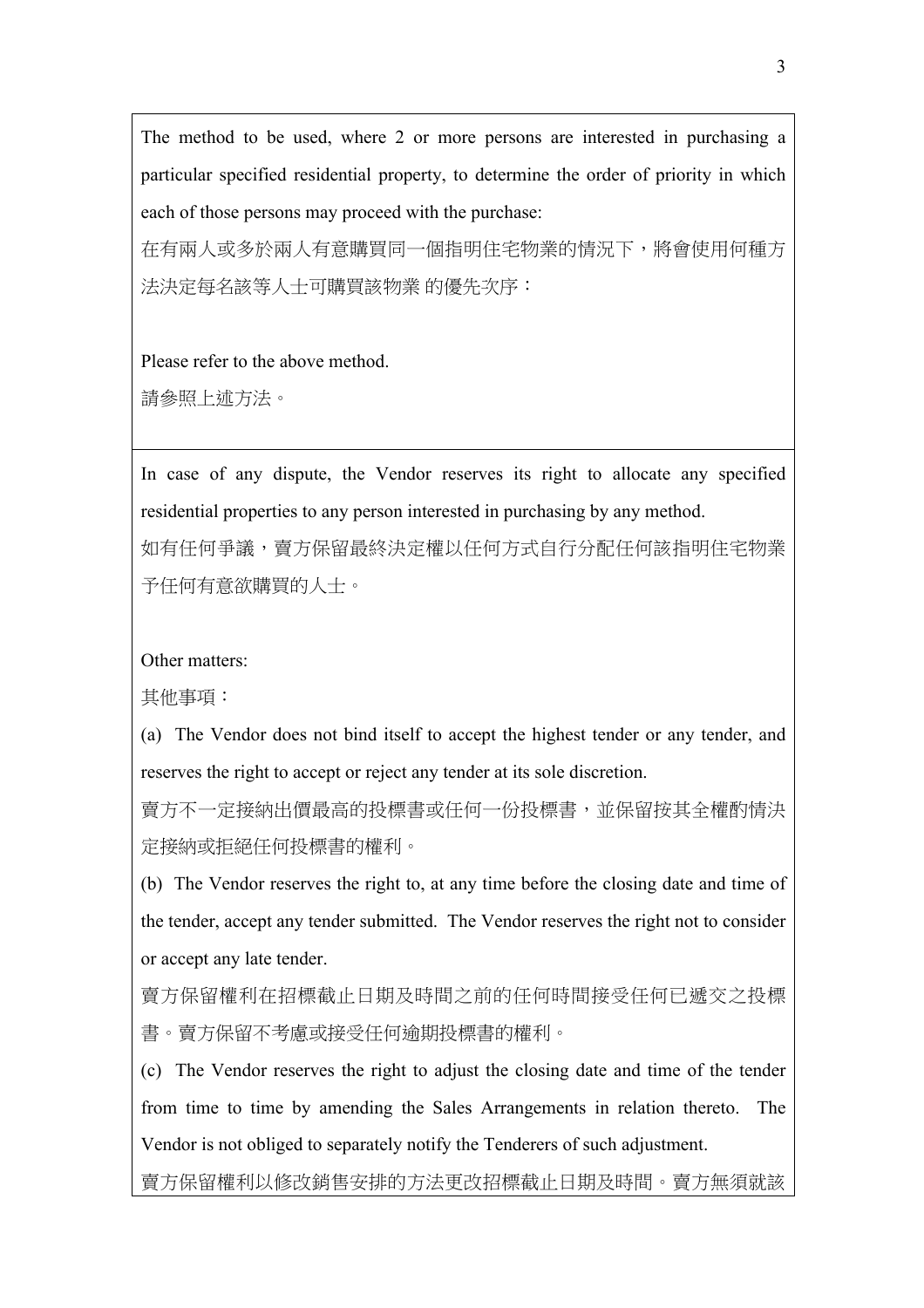The method to be used, where 2 or more persons are interested in purchasing a particular specified residential property, to determine the order of priority in which each of those persons may proceed with the purchase:

在有兩人或多於兩人有意購買同一個指明住宅物業的情況下,將會使用何種方 法決定每名該等人士可購買該物業 的優先次序:

Please refer to the above method.

請參照上述方法。

In case of any dispute, the Vendor reserves its right to allocate any specified residential properties to any person interested in purchasing by any method.

如有任何爭議,賣方保留最終決定權以任何方式自行分配任何該指明住宅物業 予任何有意欲購買的人士。

Other matters:

其他事項:

(a) The Vendor does not bind itself to accept the highest tender or any tender, and reserves the right to accept or reject any tender at its sole discretion.

賣方不一定接納出價最高的投標書或任何一份投標書,並保留按其全權酌情決 定接納或拒絕任何投標書的權利。

(b) The Vendor reserves the right to, at any time before the closing date and time of the tender, accept any tender submitted. The Vendor reserves the right not to consider or accept any late tender.

賣方保留權利在招標截止日期及時間之前的任何時間接受任何已遞交之投標 書。賣方保留不考慮或接受任何逾期投標書的權利。

(c) The Vendor reserves the right to adjust the closing date and time of the tender from time to time by amending the Sales Arrangements in relation thereto. The Vendor is not obliged to separately notify the Tenderers of such adjustment.

賣方保留權利以修改銷售安排的方法更改招標截止日期及時間。賣方無須就該